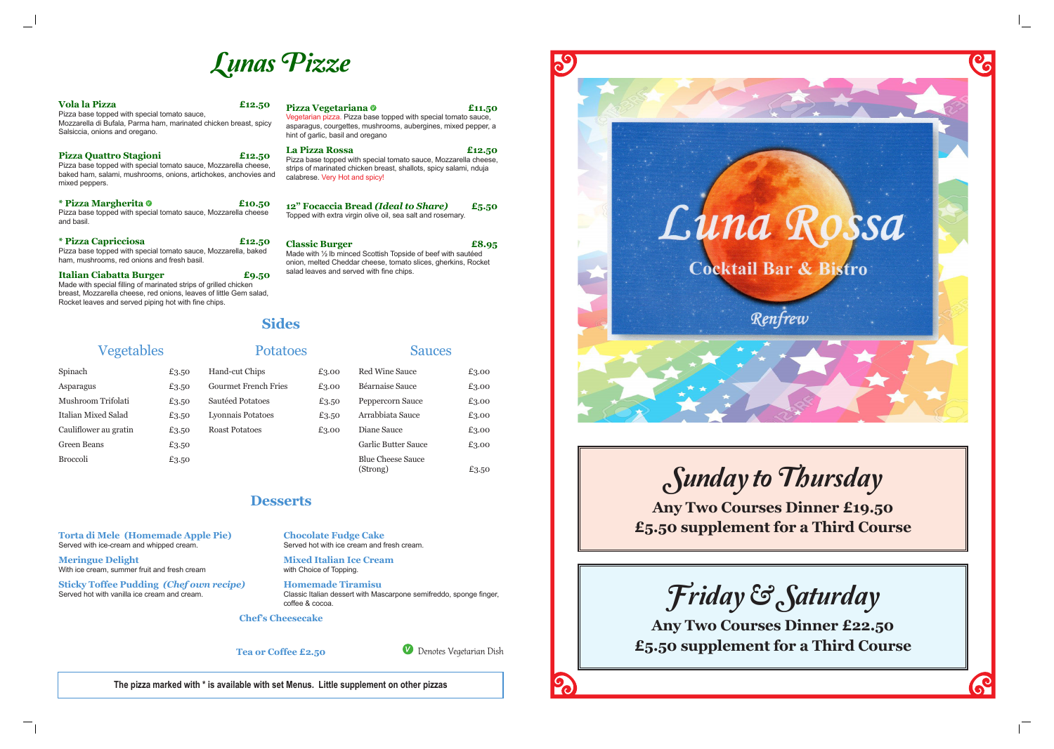

 $\mathcal{C}$ 

# Lunas Pizze

| <b>Vola la Pizza</b><br>Pizza base topped with special tomato sauce,<br>Mozzarella di Bufala, Parma ham, marinated chicken breast, spicy<br>Salsiccia, onions and oregano.                                                       | £12.50 | <b>Pizza Vegetariana</b> ©<br>£11.50<br>Vegetarian pizza. Pizza base topped with special tomato sauce,<br>asparagus, courgettes, mushrooms, aubergines, mixed pepper, a<br>hint of garlic, basil and oregano |  |
|----------------------------------------------------------------------------------------------------------------------------------------------------------------------------------------------------------------------------------|--------|--------------------------------------------------------------------------------------------------------------------------------------------------------------------------------------------------------------|--|
| Pizza Quattro Stagioni<br>Pizza base topped with special tomato sauce, Mozzarella cheese,<br>baked ham, salami, mushrooms, onions, artichokes, anchovies and<br>mixed peppers.                                                   | £12.50 | La Pizza Rossa<br>£12.50<br>Pizza base topped with special tomato sauce, Mozzarella cheese,<br>strips of marinated chicken breast, shallots, spicy salami, nduja<br>calabrese. Very Hot and spicy!           |  |
| * Pizza Margherita <sup>o</sup><br>Pizza base topped with special tomato sauce, Mozzarella cheese<br>and basil.                                                                                                                  | £10.50 | 12" Focaccia Bread (Ideal to Share)<br>£5.50<br>Topped with extra virgin olive oil, sea salt and rosemary.                                                                                                   |  |
| <i>*</i> Pizza Capricciosa<br>£12.50<br>Pizza base topped with special tomato sauce, Mozzarella, baked<br>ham, mushrooms, red onions and fresh basil.                                                                            |        | <b>Classic Burger</b><br>£8.95<br>Made with 1/2 Ib minced Scottish Topside of beef with sautéed<br>onion, melted Cheddar cheese, tomato slices, gherkins, Rocket                                             |  |
| <b>Italian Ciabatta Burger</b><br>Made with special filling of marinated strips of grilled chicken<br>breast, Mozzarella cheese, red onions, leaves of little Gem salad,<br>Rocket leaves and served piping hot with fine chips. | £9.50  | salad leaves and served with fine chips.                                                                                                                                                                     |  |



**The pizza marked with \* is available with set Menus. Little supplement on other pizzas**

## **Desserts**

**Torta di Mele (Homemade Apple Pie)** 

Served with ice-cream and whipped cream.

**Meringue Delight** 

With ice cream, summer fruit and fresh cream

**Sticky Toffee Pudding** *(Chef own recipe)*

Served hot with vanilla ice cream and cream.

**Chocolate Fudge Cake**  Served hot with ice cream and fresh cream.

**Mixed Italian Ice Cream**  with Choice of Topping.

**Homemade Tiramisu** Classic Italian dessert with Mascarpone semifreddo, sponge finger, coffee & cocoa.

### **Chef's Cheesecake**

**Tea or Coffee £2.50**

## **Sides**

## Vegetables

| Spinach               | £3.50 |
|-----------------------|-------|
| Asparagus             | £3.50 |
| Mushroom Trifolati    | £3.50 |
| Italian Mixed Salad   | £3.50 |
| Cauliflower au gratin | £3.50 |
| Green Beans           | £3.50 |
| <b>Broccoli</b>       | £3.50 |

## Potatoes

| 3.50 | Hand-cut Chips              |  |
|------|-----------------------------|--|
| 3.50 | <b>Gourmet French Fries</b> |  |
| 3.50 | Sautéed Potatoes            |  |
| 3.50 | Lyonnais Potatoes           |  |
| 3.50 | <b>Roast Potatoes</b>       |  |
| 3.50 |                             |  |
| 3.50 |                             |  |

#### $£3.00$  $£3.00$  $£3.50$  $£3.50$  $£3.00$ Sauces Red Wine Sauce  $£3.00$ Béarnaise Sauce £3.00 Peppercorn Sauce £3.00 Arrabbiata Sauce £3.00 Diane Sauce  $£3.00$ Garlic Butter Sauce £3.00

 $(Strong)$   $E_{3.50}$ 

Blue Cheese Sauce